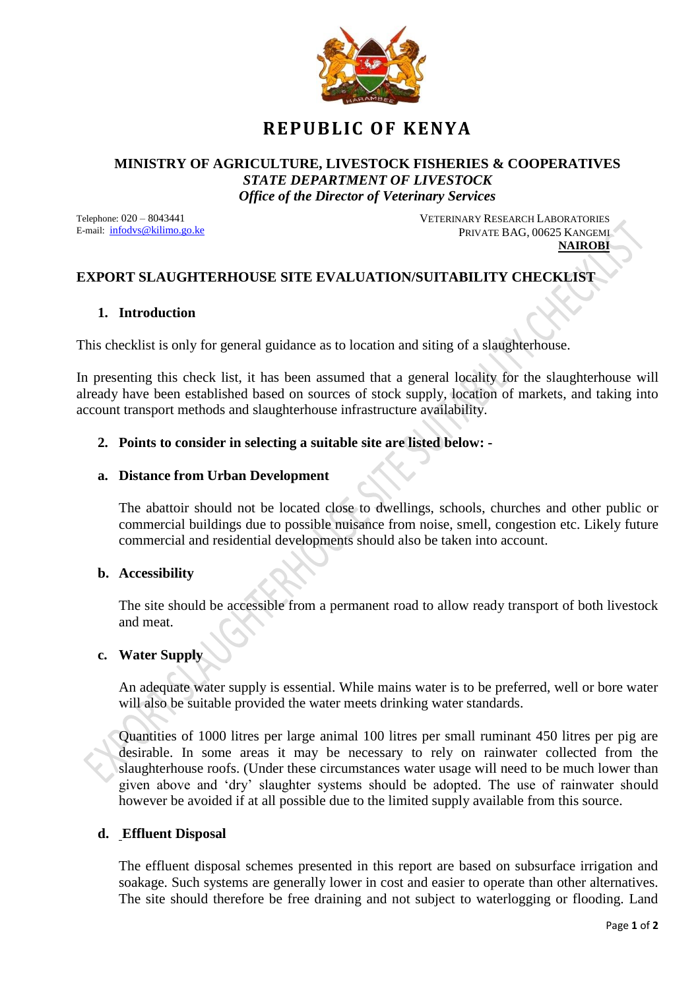

# **REPUBLIC OF KENYA**

#### **MINISTRY OF AGRICULTURE, LIVESTOCK FISHERIES & COOPERATIVES** *STATE DEPARTMENT OF LIVESTOCK Office of the Director of Veterinary Services*

Telephone: 020 – 8043441 E-mail: infodvs@kilimo.go.ke

 VETERINARY RESEARCH LABORATORIES PRIVATE BAG, 00625 KANGEMI **NAIROBI**

## **EXPORT SLAUGHTERHOUSE SITE EVALUATION/SUITABILITY CHECKLIST**

### **1. Introduction**

This checklist is only for general guidance as to location and siting of a slaughterhouse.

In presenting this check list, it has been assumed that a general locality for the slaughterhouse will already have been established based on sources of stock supply, location of markets, and taking into account transport methods and slaughterhouse infrastructure availability.

#### **2. Points to consider in selecting a suitable site are listed below: -**

#### **a. Distance from Urban Development**

The abattoir should not be located close to dwellings, schools, churches and other public or commercial buildings due to possible nuisance from noise, smell, congestion etc. Likely future commercial and residential developments should also be taken into account.

#### **b. Accessibility**

The site should be accessible from a permanent road to allow ready transport of both livestock and meat.

#### **c. Water Supply**

An adequate water supply is essential. While mains water is to be preferred, well or bore water will also be suitable provided the water meets drinking water standards.

Quantities of 1000 litres per large animal 100 litres per small ruminant 450 litres per pig are desirable. In some areas it may be necessary to rely on rainwater collected from the slaughterhouse roofs. (Under these circumstances water usage will need to be much lower than given above and 'dry' slaughter systems should be adopted. The use of rainwater should however be avoided if at all possible due to the limited supply available from this source.

#### **d. Effluent Disposal**

The effluent disposal schemes presented in this report are based on subsurface irrigation and soakage. Such systems are generally lower in cost and easier to operate than other alternatives. The site should therefore be free draining and not subject to waterlogging or flooding. Land